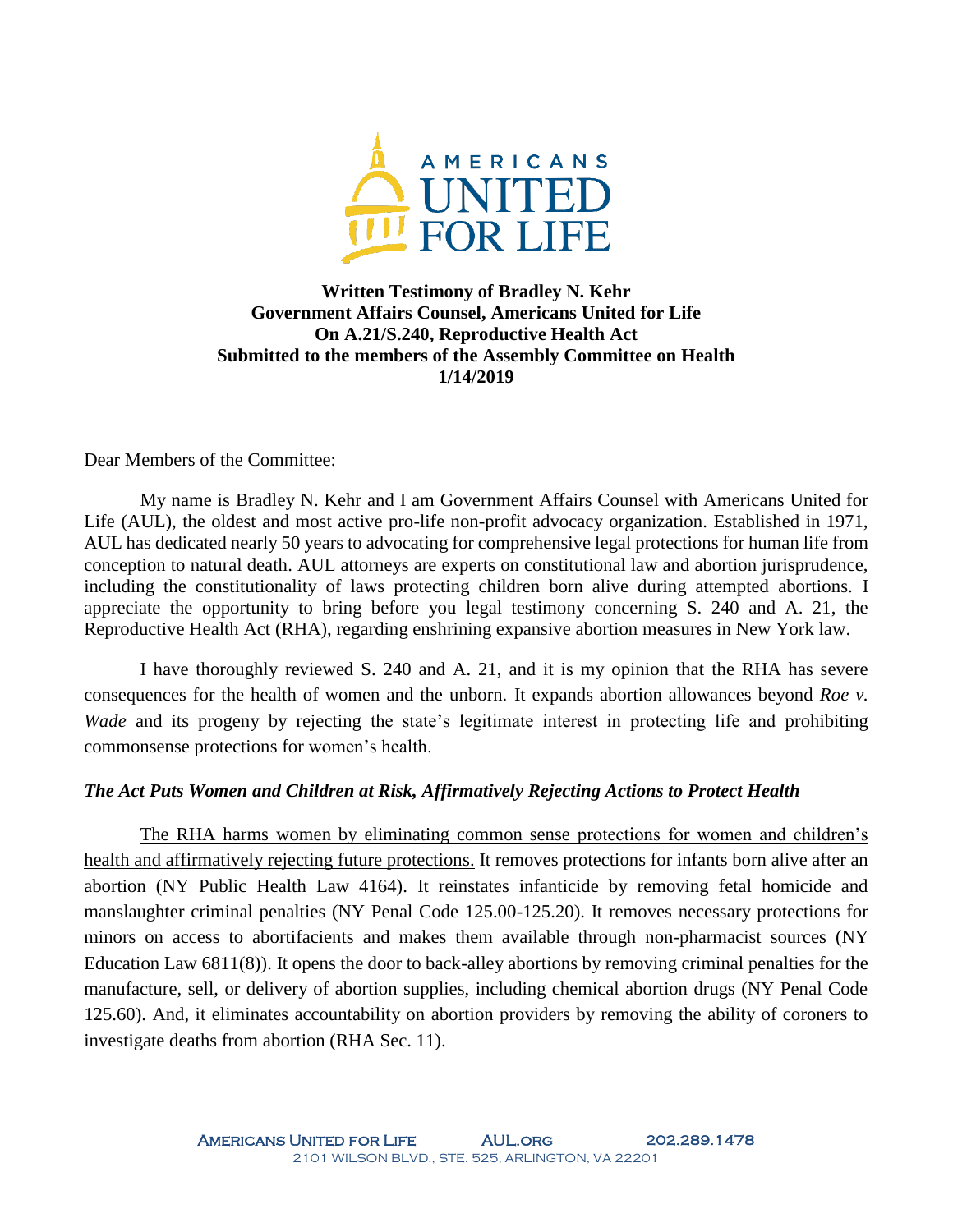

# **Written Testimony of Bradley N. Kehr Government Affairs Counsel, Americans United for Life On A.21/S.240, Reproductive Health Act Submitted to the members of the Assembly Committee on Health 1/14/2019**

Dear Members of the Committee:

My name is Bradley N. Kehr and I am Government Affairs Counsel with Americans United for Life (AUL), the oldest and most active pro-life non-profit advocacy organization. Established in 1971, AUL has dedicated nearly 50 years to advocating for comprehensive legal protections for human life from conception to natural death. AUL attorneys are experts on constitutional law and abortion jurisprudence, including the constitutionality of laws protecting children born alive during attempted abortions. I appreciate the opportunity to bring before you legal testimony concerning S. 240 and A. 21, the Reproductive Health Act (RHA), regarding enshrining expansive abortion measures in New York law.

I have thoroughly reviewed S. 240 and A. 21, and it is my opinion that the RHA has severe consequences for the health of women and the unborn. It expands abortion allowances beyond *Roe v. Wade* and its progeny by rejecting the state's legitimate interest in protecting life and prohibiting commonsense protections for women's health.

# *The Act Puts Women and Children at Risk, Affirmatively Rejecting Actions to Protect Health*

The RHA harms women by eliminating common sense protections for women and children's health and affirmatively rejecting future protections. It removes protections for infants born alive after an abortion (NY Public Health Law 4164). It reinstates infanticide by removing fetal homicide and manslaughter criminal penalties (NY Penal Code 125.00-125.20). It removes necessary protections for minors on access to abortifacients and makes them available through non-pharmacist sources (NY Education Law 6811(8)). It opens the door to back-alley abortions by removing criminal penalties for the manufacture, sell, or delivery of abortion supplies, including chemical abortion drugs (NY Penal Code 125.60). And, it eliminates accountability on abortion providers by removing the ability of coroners to investigate deaths from abortion (RHA Sec. 11).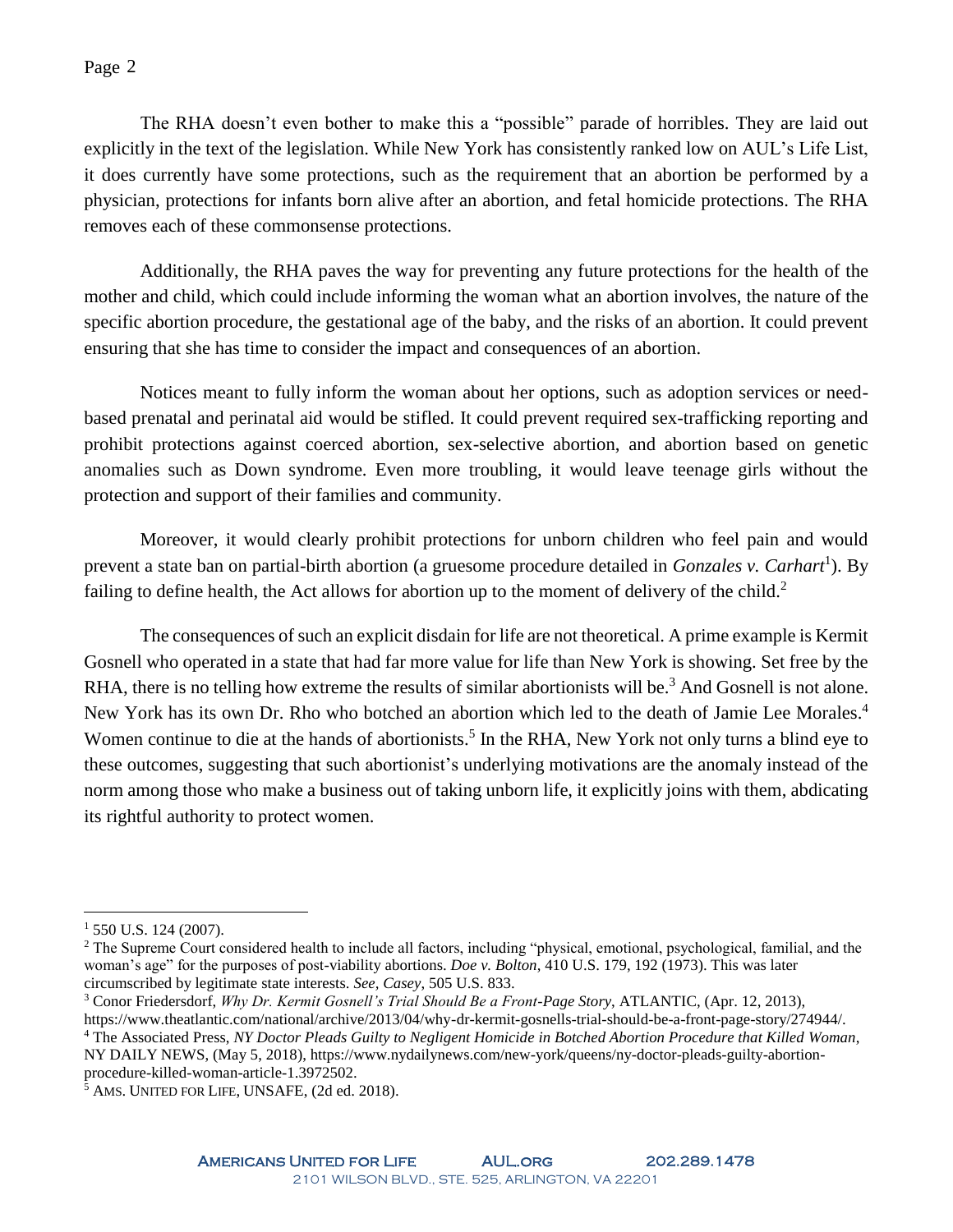### Page 2

The RHA doesn't even bother to make this a "possible" parade of horribles. They are laid out explicitly in the text of the legislation. While New York has consistently ranked low on AUL's Life List, it does currently have some protections, such as the requirement that an abortion be performed by a physician, protections for infants born alive after an abortion, and fetal homicide protections. The RHA removes each of these commonsense protections.

Additionally, the RHA paves the way for preventing any future protections for the health of the mother and child, which could include informing the woman what an abortion involves, the nature of the specific abortion procedure, the gestational age of the baby, and the risks of an abortion. It could prevent ensuring that she has time to consider the impact and consequences of an abortion.

Notices meant to fully inform the woman about her options, such as adoption services or needbased prenatal and perinatal aid would be stifled. It could prevent required sex-trafficking reporting and prohibit protections against coerced abortion, sex-selective abortion, and abortion based on genetic anomalies such as Down syndrome. Even more troubling, it would leave teenage girls without the protection and support of their families and community.

Moreover, it would clearly prohibit protections for unborn children who feel pain and would prevent a state ban on partial-birth abortion (a gruesome procedure detailed in *Gonzales v. Carhart*<sup>1</sup> ). By failing to define health, the Act allows for abortion up to the moment of delivery of the child.<sup>2</sup>

The consequences of such an explicit disdain for life are not theoretical. A prime example is Kermit Gosnell who operated in a state that had far more value for life than New York is showing. Set free by the RHA, there is no telling how extreme the results of similar abortionists will be.<sup>3</sup> And Gosnell is not alone. New York has its own Dr. Rho who botched an abortion which led to the death of Jamie Lee Morales.<sup>4</sup> Women continue to die at the hands of abortionists.<sup>5</sup> In the RHA, New York not only turns a blind eye to these outcomes, suggesting that such abortionist's underlying motivations are the anomaly instead of the norm among those who make a business out of taking unborn life, it explicitly joins with them, abdicating its rightful authority to protect women.

 $\overline{a}$ 

https://www.theatlantic.com/national/archive/2013/04/why-dr-kermit-gosnells-trial-should-be-a-front-page-story/274944/.

 $1,550$  U.S. 124 (2007).

<sup>&</sup>lt;sup>2</sup> The Supreme Court considered health to include all factors, including "physical, emotional, psychological, familial, and the woman's age" for the purposes of post-viability abortions. *Doe v. Bolton*, 410 U.S. 179, 192 (1973). This was later circumscribed by legitimate state interests. *See, Casey*, 505 U.S. 833.

<sup>3</sup> Conor Friedersdorf, *Why Dr. Kermit Gosnell's Trial Should Be a Front-Page Story*, ATLANTIC, (Apr. 12, 2013),

<sup>4</sup> The Associated Press, *NY Doctor Pleads Guilty to Negligent Homicide in Botched Abortion Procedure that Killed Woman*, NY DAILY NEWS, (May 5, 2018), https://www.nydailynews.com/new-york/queens/ny-doctor-pleads-guilty-abortionprocedure-killed-woman-article-1.3972502.

<sup>5</sup> AMS. UNITED FOR LIFE, UNSAFE, (2d ed. 2018).